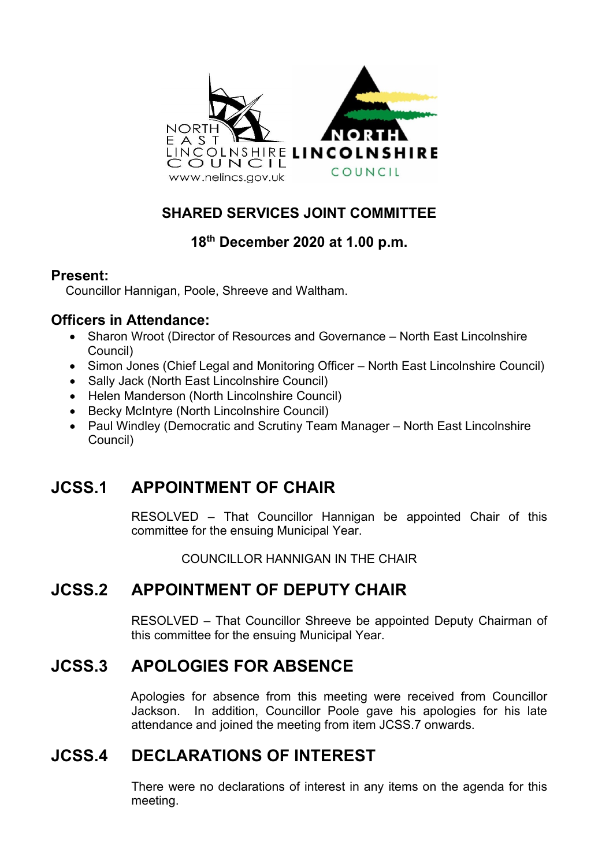

#### **SHARED SERVICES JOINT COMMITTEE**

#### **18th December 2020 at 1.00 p.m.**

#### **Present:**

Councillor Hannigan, Poole, Shreeve and Waltham.

#### **Officers in Attendance:**

- Sharon Wroot (Director of Resources and Governance North East Lincolnshire Council)
- Simon Jones (Chief Legal and Monitoring Officer North East Lincolnshire Council)
- Sally Jack (North East Lincolnshire Council)
- Helen Manderson (North Lincolnshire Council)
- Becky McIntyre (North Lincolnshire Council)
- Paul Windley (Democratic and Scrutiny Team Manager North East Lincolnshire Council)

# **JCSS.1 APPOINTMENT OF CHAIR**

RESOLVED – That Councillor Hannigan be appointed Chair of this committee for the ensuing Municipal Year.

COUNCILLOR HANNIGAN IN THE CHAIR

# **JCSS.2 APPOINTMENT OF DEPUTY CHAIR**

RESOLVED – That Councillor Shreeve be appointed Deputy Chairman of this committee for the ensuing Municipal Year.

# **JCSS.3 APOLOGIES FOR ABSENCE**

Apologies for absence from this meeting were received from Councillor Jackson. In addition, Councillor Poole gave his apologies for his late attendance and joined the meeting from item JCSS.7 onwards.

# **JCSS.4 DECLARATIONS OF INTEREST**

There were no declarations of interest in any items on the agenda for this meeting.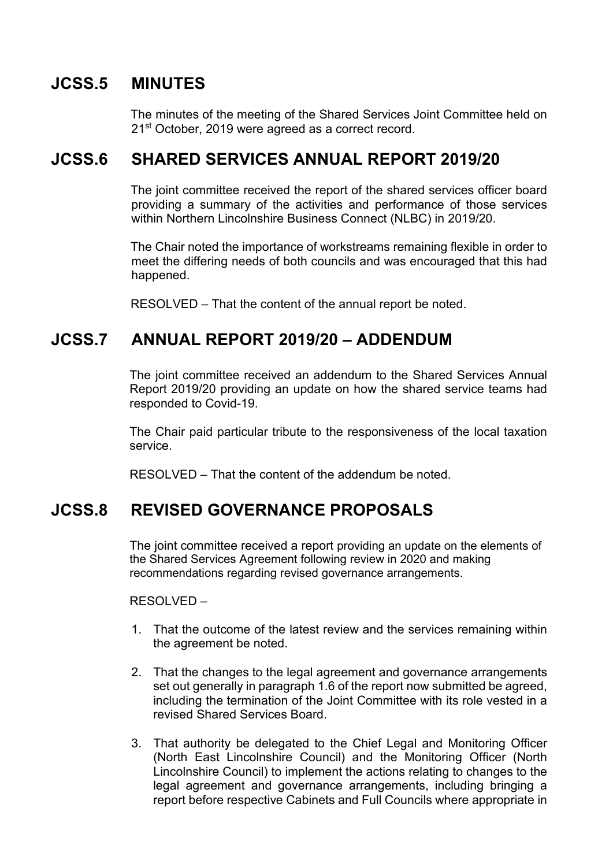#### **JCSS.5 MINUTES**

The minutes of the meeting of the Shared Services Joint Committee held on 21<sup>st</sup> October, 2019 were agreed as a correct record.

# **JCSS.6 SHARED SERVICES ANNUAL REPORT 2019/20**

The joint committee received the report of the shared services officer board providing a summary of the activities and performance of those services within Northern Lincolnshire Business Connect (NLBC) in 2019/20.

The Chair noted the importance of workstreams remaining flexible in order to meet the differing needs of both councils and was encouraged that this had happened.

RESOLVED – That the content of the annual report be noted.

#### **JCSS.7 ANNUAL REPORT 2019/20 – ADDENDUM**

The joint committee received an addendum to the Shared Services Annual Report 2019/20 providing an update on how the shared service teams had responded to Covid-19.

The Chair paid particular tribute to the responsiveness of the local taxation service.

RESOLVED – That the content of the addendum be noted.

# **JCSS.8 REVISED GOVERNANCE PROPOSALS**

The joint committee received a report providing an update on the elements of the Shared Services Agreement following review in 2020 and making recommendations regarding revised governance arrangements.

RESOLVED –

- 1. That the outcome of the latest review and the services remaining within the agreement be noted.
- 2. That the changes to the legal agreement and governance arrangements set out generally in paragraph 1.6 of the report now submitted be agreed, including the termination of the Joint Committee with its role vested in a revised Shared Services Board.
- 3. That authority be delegated to the Chief Legal and Monitoring Officer (North East Lincolnshire Council) and the Monitoring Officer (North Lincolnshire Council) to implement the actions relating to changes to the legal agreement and governance arrangements, including bringing a report before respective Cabinets and Full Councils where appropriate in